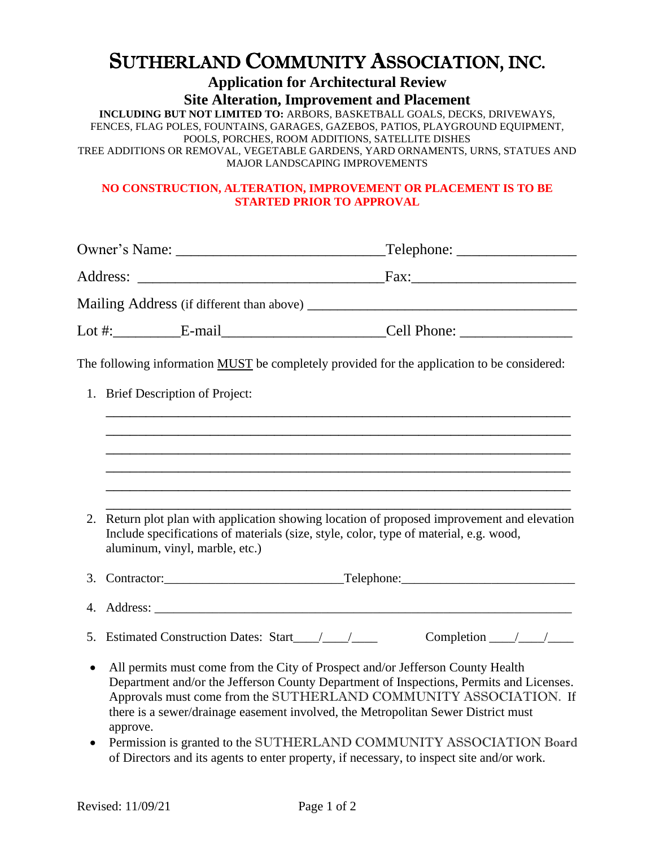## SUTHERLAND COMMUNITY ASSOCIATION, INC.

**Application for Architectural Review Site Alteration, Improvement and Placement**

**INCLUDING BUT NOT LIMITED TO:** ARBORS, BASKETBALL GOALS, DECKS, DRIVEWAYS, FENCES, FLAG POLES, FOUNTAINS, GARAGES, GAZEBOS, PATIOS, PLAYGROUND EQUIPMENT, POOLS, PORCHES, ROOM ADDITIONS, SATELLITE DISHES TREE ADDITIONS OR REMOVAL, VEGETABLE GARDENS, YARD ORNAMENTS, URNS, STATUES AND MAJOR LANDSCAPING IMPROVEMENTS

## **NO CONSTRUCTION, ALTERATION, IMPROVEMENT OR PLACEMENT IS TO BE STARTED PRIOR TO APPROVAL**

|           | Lot #:_______________E-mail_____________________________Cell Phone: _____________                                                                                                                                                                                                                                                               |                                  |  |
|-----------|-------------------------------------------------------------------------------------------------------------------------------------------------------------------------------------------------------------------------------------------------------------------------------------------------------------------------------------------------|----------------------------------|--|
|           | The following information MUST be completely provided for the application to be considered:                                                                                                                                                                                                                                                     |                                  |  |
|           | 1. Brief Description of Project:                                                                                                                                                                                                                                                                                                                |                                  |  |
|           |                                                                                                                                                                                                                                                                                                                                                 |                                  |  |
|           |                                                                                                                                                                                                                                                                                                                                                 |                                  |  |
|           |                                                                                                                                                                                                                                                                                                                                                 |                                  |  |
|           | 2. Return plot plan with application showing location of proposed improvement and elevation<br>Include specifications of materials (size, style, color, type of material, e.g. wood,<br>aluminum, vinyl, marble, etc.)                                                                                                                          |                                  |  |
|           |                                                                                                                                                                                                                                                                                                                                                 |                                  |  |
|           |                                                                                                                                                                                                                                                                                                                                                 |                                  |  |
|           |                                                                                                                                                                                                                                                                                                                                                 | Completion $\_\_\_\_\_\_\_\_\_\$ |  |
| $\bullet$ | All permits must come from the City of Prospect and/or Jefferson County Health<br>Department and/or the Jefferson County Department of Inspections, Permits and Licenses.<br>Approvals must come from the SUTHERLAND COMMUNITY ASSOCIATION. If<br>there is a sewer/drainage easement involved, the Metropolitan Sewer District must<br>approve. |                                  |  |
| $\bullet$ | Permission is granted to the SUTHERLAND COMMUNITY ASSOCIATION Board<br>of Directors and its agents to enter property, if necessary, to inspect site and/or work.                                                                                                                                                                                |                                  |  |